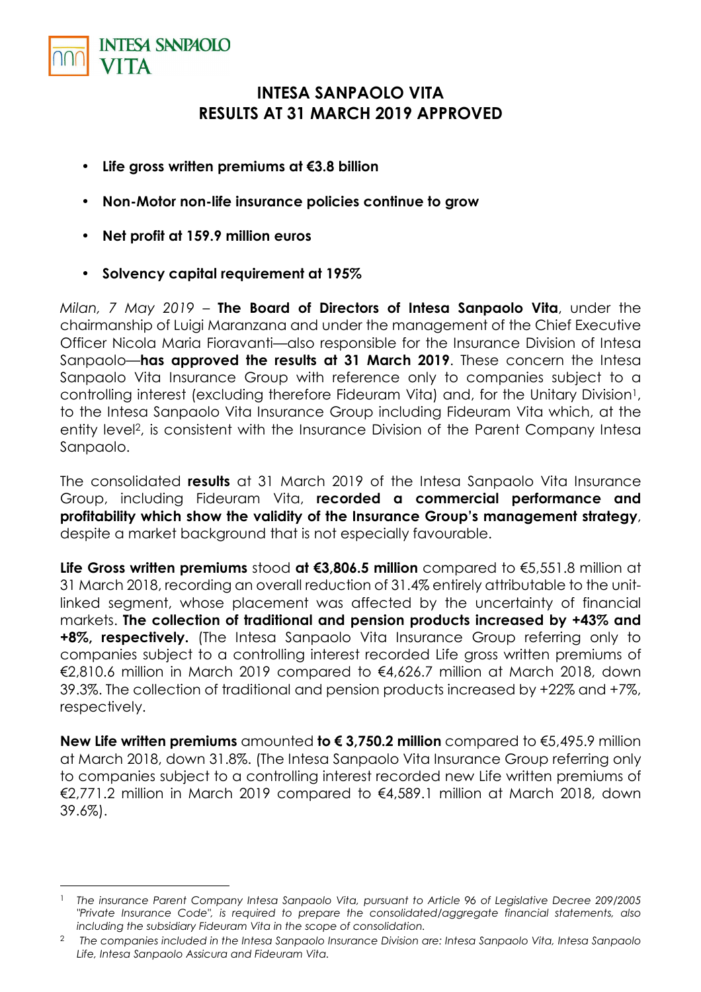

 $\overline{a}$ 

## **INTESA SANPAOLO VITA RESULTS AT 31 MARCH 2019 APPROVED**

- **Life gross written premiums at €3.8 billion**
- **Non-Motor non-life insurance policies continue to grow**
- **Net profit at 159.9 million euros**
- **Solvency capital requirement at 195%**

*Milan, 7 May 2019 –* **The Board of Directors of Intesa Sanpaolo Vita**, under the chairmanship of Luigi Maranzana and under the management of the Chief Executive Officer Nicola Maria Fioravanti—also responsible for the Insurance Division of Intesa Sanpaolo—**has approved the results at 31 March 2019**. These concern the Intesa Sanpaolo Vita Insurance Group with reference only to companies subject to a controlling interest (excluding therefore Fideuram Vita) and, for the Unitary Division<sup>1</sup>, to the Intesa Sanpaolo Vita Insurance Group including Fideuram Vita which, at the entity level2, is consistent with the Insurance Division of the Parent Company Intesa Sanpaolo.

The consolidated **results** at 31 March 2019 of the Intesa Sanpaolo Vita Insurance Group, including Fideuram Vita, **recorded a commercial performance and profitability which show the validity of the Insurance Group's management strategy**, despite a market background that is not especially favourable.

**Life Gross written premiums** stood **at €3,806.5 million** compared to €5,551.8 million at 31 March 2018, recording an overall reduction of 31.4% entirely attributable to the unitlinked segment, whose placement was affected by the uncertainty of financial markets. **The collection of traditional and pension products increased by +43% and +8%, respectively.** (The Intesa Sanpaolo Vita Insurance Group referring only to companies subject to a controlling interest recorded Life gross written premiums of €2,810.6 million in March 2019 compared to €4,626.7 million at March 2018, down 39.3%. The collection of traditional and pension products increased by +22% and +7%, respectively.

**New Life written premiums** amounted **to € 3,750.2 million** compared to €5,495.9 million at March 2018, down 31.8%. (The Intesa Sanpaolo Vita Insurance Group referring only to companies subject to a controlling interest recorded new Life written premiums of €2,771.2 million in March 2019 compared to €4,589.1 million at March 2018, down 39.6%).

<sup>1</sup> *The insurance Parent Company Intesa Sanpaolo Vita, pursuant to Article 96 of Legislative Decree 209/2005 "Private Insurance Code", is required to prepare the consolidated/aggregate financial statements, also including the subsidiary Fideuram Vita in the scope of consolidation.* 

<sup>2</sup> *The companies included in the Intesa Sanpaolo Insurance Division are: Intesa Sanpaolo Vita, Intesa Sanpaolo Life, Intesa Sanpaolo Assicura and Fideuram Vita.*